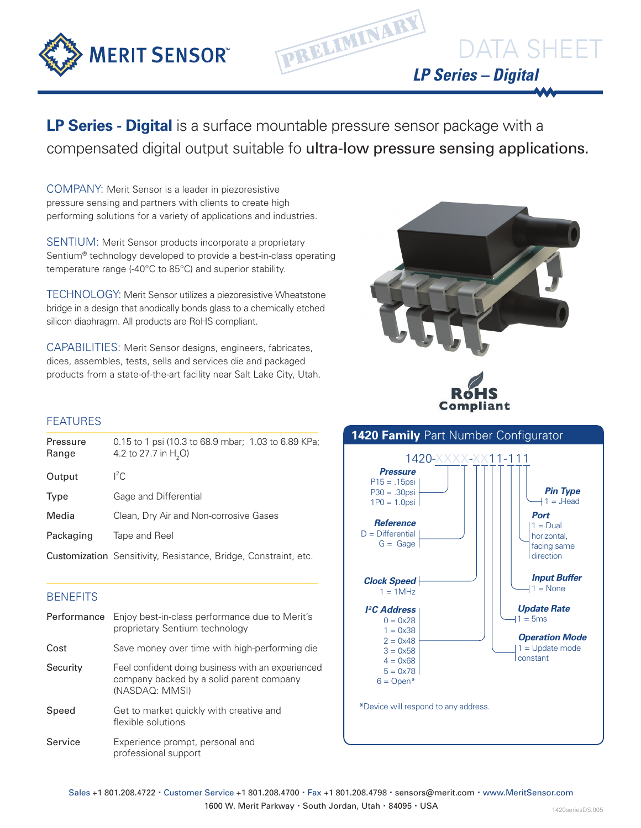

**LP Series - Digital** is a surface mountable pressure sensor package with a compensated digital output suitable fo ultra-low pressure sensing applications.

PRELIMINARY

COMPANY: Merit Sensor is a leader in piezoresistive pressure sensing and partners with clients to create high performing solutions for a variety of applications and industries.

SENTIUM: Merit Sensor products incorporate a proprietary Sentium® technology developed to provide a best-in-class operating temperature range (-40°C to 85°C) and superior stability.

TECHNOLOGY: Merit Sensor utilizes a piezoresistive Wheatstone bridge in a design that anodically bonds glass to a chemically etched silicon diaphragm. All products are RoHS compliant.

CAPABILITIES: Merit Sensor designs, engineers, fabricates, dices, assembles, tests, sells and services die and packaged products from a state-of-the-art facility near Salt Lake City, Utah.



Complia

*LP Series – Digital*

DATA SHEET

# FEATURES

| Pressure<br>Range | 0.15 to 1 psi (10.3 to 68.9 mbar; 1.03 to 6.89 KPa;<br>4.2 to 27.7 in H <sub>2</sub> O) |
|-------------------|-----------------------------------------------------------------------------------------|
| Output            | ${}^{12}C$                                                                              |
| Type              | Gage and Differential                                                                   |
| Media             | Clean, Dry Air and Non-corrosive Gases                                                  |
| Packaging         | Tape and Reel                                                                           |
|                   | Customization Sensitivity, Resistance, Bridge, Constraint, etc.                         |

## **BENEFITS**

| Performance | Enjoy best-in-class performance due to Merit's<br>proprietary Sentium technology                                |
|-------------|-----------------------------------------------------------------------------------------------------------------|
| Cost        | Save money over time with high-performing die                                                                   |
| Security    | Feel confident doing business with an experienced<br>company backed by a solid parent company<br>(NASDAQ: MMSI) |
| Speed       | Get to market quickly with creative and<br>flexible solutions                                                   |
| Service     | Experience prompt, personal and<br>professional support                                                         |



Sales +1 801.208.4722 · Customer Service +1 801.208.4700 · Fax +1 801.208.4798 · sensors@merit.com · www.MeritSensor.com 1600 W. Merit Parkway · South Jordan, Utah · 84095 · USA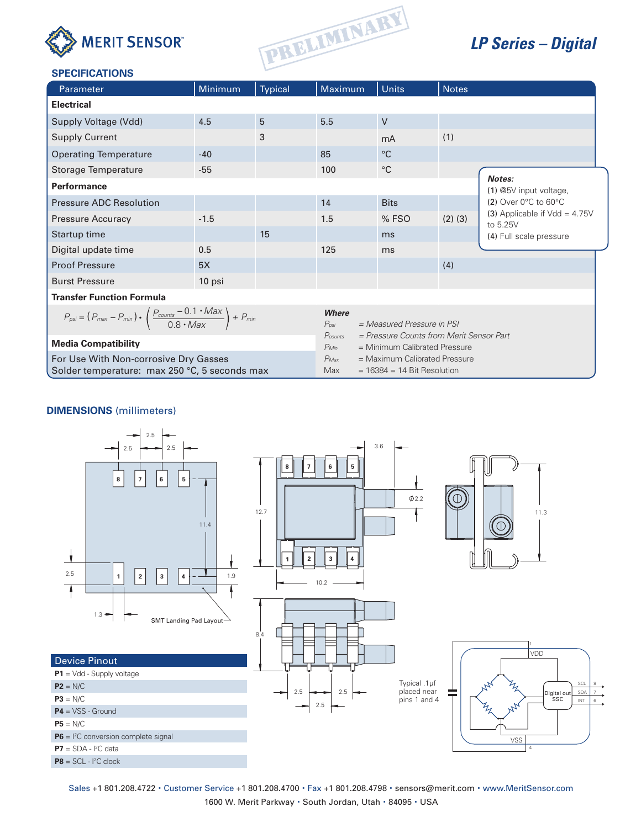



# *LP Series – Digital*

### **SPECIFICATIONS**

| Parameter                                                                                                     | Minimum | <b>Typical</b> | Maximum                   | <b>Units</b>                                                                                                                                                                      | <b>Notes</b> |                                             |  |  |  |  |
|---------------------------------------------------------------------------------------------------------------|---------|----------------|---------------------------|-----------------------------------------------------------------------------------------------------------------------------------------------------------------------------------|--------------|---------------------------------------------|--|--|--|--|
| <b>Electrical</b>                                                                                             |         |                |                           |                                                                                                                                                                                   |              |                                             |  |  |  |  |
| Supply Voltage (Vdd)                                                                                          | 4.5     | 5              | 5.5                       | V                                                                                                                                                                                 |              |                                             |  |  |  |  |
| <b>Supply Current</b>                                                                                         |         | 3              |                           | mA                                                                                                                                                                                | (1)          |                                             |  |  |  |  |
| <b>Operating Temperature</b>                                                                                  | $-40$   |                | 85                        | $^{\circ}C$                                                                                                                                                                       |              |                                             |  |  |  |  |
| Storage Temperature                                                                                           | $-55$   |                | 100                       | $^{\circ}$ C                                                                                                                                                                      |              |                                             |  |  |  |  |
| <b>Performance</b>                                                                                            |         |                |                           |                                                                                                                                                                                   |              | Notes:<br>(1) @5V input voltage,            |  |  |  |  |
| <b>Pressure ADC Resolution</b>                                                                                |         |                | 14                        | <b>Bits</b>                                                                                                                                                                       |              | $(2)$ Over 0 $\degree$ C to 60 $\degree$ C  |  |  |  |  |
| <b>Pressure Accuracy</b>                                                                                      | $-1.5$  |                | 1.5                       | % FSO                                                                                                                                                                             | $(2)$ $(3)$  | (3) Applicable if $Vdd = 4.75V$<br>to 5.25V |  |  |  |  |
| Startup time                                                                                                  |         | 15             |                           | ms                                                                                                                                                                                |              | (4) Full scale pressure                     |  |  |  |  |
| Digital update time                                                                                           | 0.5     |                | 125                       | ms                                                                                                                                                                                |              |                                             |  |  |  |  |
| <b>Proof Pressure</b>                                                                                         | 5X      |                |                           |                                                                                                                                                                                   | (4)          |                                             |  |  |  |  |
| <b>Burst Pressure</b>                                                                                         | 10 psi  |                |                           |                                                                                                                                                                                   |              |                                             |  |  |  |  |
| <b>Transfer Function Formula</b>                                                                              |         |                |                           |                                                                                                                                                                                   |              |                                             |  |  |  |  |
| $P_{psi} = (P_{max} - P_{min}) \cdot \left(\frac{P_{counts} - 0.1 \cdot Max}{0.8 \cdot Max}\right) + P_{min}$ |         |                | <b>Where</b><br>$P_{psi}$ | $= Measured$ Pressure in PSI                                                                                                                                                      |              |                                             |  |  |  |  |
| <b>Media Compatibility</b>                                                                                    |         |                | $P_{Min}$                 | = Pressure Counts from Merit Sensor Part<br>Pcounts<br>= Minimum Calibrated Pressure<br>= Maximum Calibrated Pressure<br>$P_{\text{Max}}$<br>$= 16384 = 14$ Bit Resolution<br>Max |              |                                             |  |  |  |  |
| For Use With Non-corrosive Dry Gasses<br>Solder temperature: max 250 °C, 5 seconds max                        |         |                |                           |                                                                                                                                                                                   |              |                                             |  |  |  |  |

#### **DIMENSIONS** (millimeters)



Sales +1 801.208.4722 · Customer Service +1 801.208.4700 · Fax +1 801.208.4798 · sensors@merit.com · www.MeritSensor.com 1600 W. Merit Parkway · South Jordan, Utah · 84095 · USA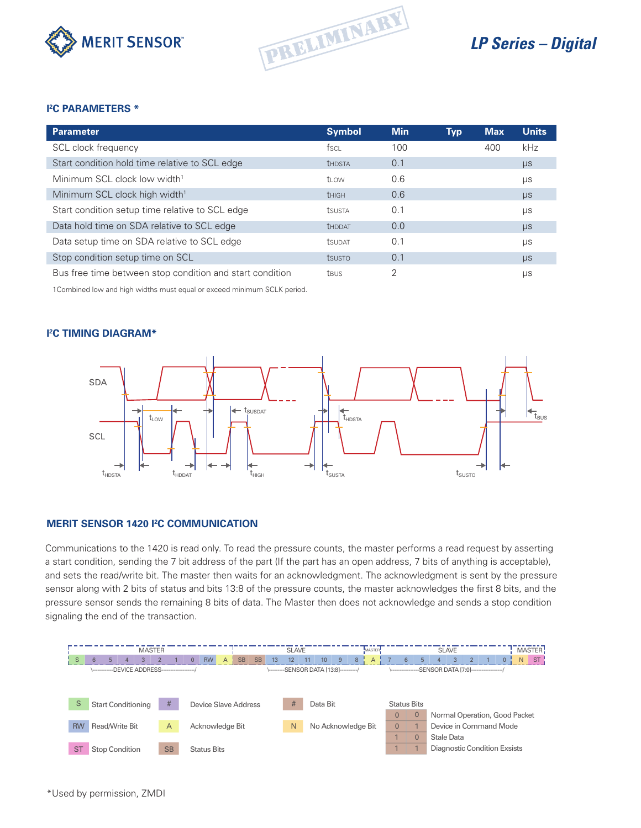



# *LP Series – Digital*

#### **I 2 C PARAMETERS \***

| <b>Parameter</b>                                         | <b>Symbol</b>        | <b>Min</b> | <b>Typ</b> | <b>Max</b> | <b>Units</b> |
|----------------------------------------------------------|----------------------|------------|------------|------------|--------------|
| SCL clock frequency                                      | fsci                 | 100        |            | 400        | kHz          |
| Start condition hold time relative to SCL edge           | <b>THDSTA</b>        | 0.1        |            |            | $\mu$ s      |
| Minimum SCL clock low width <sup>1</sup>                 | ti ow                | 0.6        |            |            | μs           |
| Minimum SCL clock high width <sup>1</sup>                | <b>THIGH</b>         | 0.6        |            |            | $\mu s$      |
| Start condition setup time relative to SCL edge          | <b>tsusta</b>        | 0.1        |            |            | μs           |
| Data hold time on SDA relative to SCL edge               | <b><i>UHDDAT</i></b> | 0.0        |            |            | $\mu$ s      |
| Data setup time on SDA relative to SCL edge              | <b>TSUDAT</b>        | 0.1        |            |            | μs           |
| Stop condition setup time on SCL                         | tsusto               | 0.1        |            |            | $\mu s$      |
| Bus free time between stop condition and start condition | <b>TRUS</b>          | 2          |            |            | μs           |

1Combined low and high widths must equal or exceed minimum SCLK period.

#### **I 2 C TIMING DIAGRAM\***



#### **MERIT SENSOR 1420 I2 C COMMUNICATION**

Communications to the 1420 is read only. To read the pressure counts, the master performs a read request by asserting a start condition, sending the 7 bit address of the part (If the part has an open address, 7 bits of anything is acceptable), and sets the read/write bit. The master then waits for an acknowledgment. The acknowledgment is sent by the pressure sensor along with 2 bits of status and bits 13:8 of the pressure counts, the master acknowledges the first 8 bits, and the pressure sensor sends the remaining 8 bits of data. The Master then does not acknowledge and sends a stop condition signaling the end of the transaction.

| <b>MASTER</b> |                                                                                         |                       |   |  |                |  |                                                                                     |                 |  | <b>SLAVE</b> |   |  |                                                     |                |                    |                    |   | MASTER.      | <b>SLAVE</b> |                |                |                               |   |  |                              | MASTER!        |    |           |  |
|---------------|-----------------------------------------------------------------------------------------|-----------------------|---|--|----------------|--|-------------------------------------------------------------------------------------|-----------------|--|--------------|---|--|-----------------------------------------------------|----------------|--------------------|--------------------|---|--------------|--------------|----------------|----------------|-------------------------------|---|--|------------------------------|----------------|----|-----------|--|
| S             | 6                                                                                       | 5 <sup>5</sup>        | 3 |  |                |  | <b>SB</b><br><b>RW</b><br><b>SB</b><br>13<br>$\overline{0}$<br>$\overline{A}$<br>12 |                 |  |              |   |  |                                                     |                | 10 <sup>10</sup>   | 9                  | 8 | $\mathsf{A}$ |              | 6              | 5 <sup>5</sup> |                               | 3 |  |                              | $\overline{0}$ | N. | <b>ST</b> |  |
|               | \-----------DEVICE ADDRESS------------------/<br>\---------SENSOR DATA [13:8]---------/ |                       |   |  |                |  |                                                                                     |                 |  |              |   |  | \---------------SENSOR DATA [7:0]-----------------/ |                |                    |                    |   |              |              |                |                |                               |   |  |                              |                |    |           |  |
|               |                                                                                         |                       |   |  |                |  |                                                                                     |                 |  |              |   |  |                                                     |                |                    |                    |   |              |              |                |                |                               |   |  |                              |                |    |           |  |
|               |                                                                                         |                       |   |  |                |  |                                                                                     |                 |  |              |   |  |                                                     |                |                    |                    |   |              |              |                |                |                               |   |  |                              |                |    |           |  |
| S             | #<br><b>Start Conditioning</b><br>Device Slave Address                                  |                       |   |  |                |  |                                                                                     | #<br>Data Bit   |  |              |   |  |                                                     |                |                    | <b>Status Bits</b> |   |              |              |                |                |                               |   |  |                              |                |    |           |  |
|               |                                                                                         |                       |   |  |                |  |                                                                                     |                 |  |              |   |  |                                                     |                |                    |                    |   |              |              | $\overline{0}$ | $\mathbf{0}$   | Normal Operation, Good Packet |   |  |                              |                |    |           |  |
| <b>RW</b>     |                                                                                         | Read/Write Bit        |   |  | $\overline{A}$ |  |                                                                                     | Acknowledge Bit |  |              | N |  |                                                     |                | No Acknowledge Bit |                    |   |              | $\Omega$     |                |                | Device in Command Mode        |   |  |                              |                |    |           |  |
|               |                                                                                         |                       |   |  |                |  |                                                                                     |                 |  |              |   |  |                                                     | $\overline{0}$ | Stale Data         |                    |   |              |              |                |                |                               |   |  |                              |                |    |           |  |
| <b>ST</b>     |                                                                                         | <b>Stop Condition</b> |   |  | <b>SB</b>      |  | <b>Status Bits</b>                                                                  |                 |  |              |   |  |                                                     |                |                    |                    |   |              |              |                |                |                               |   |  | Diagnostic Condition Exsists |                |    |           |  |
|               |                                                                                         |                       |   |  |                |  |                                                                                     |                 |  |              |   |  |                                                     |                |                    |                    |   |              |              |                |                |                               |   |  |                              |                |    |           |  |